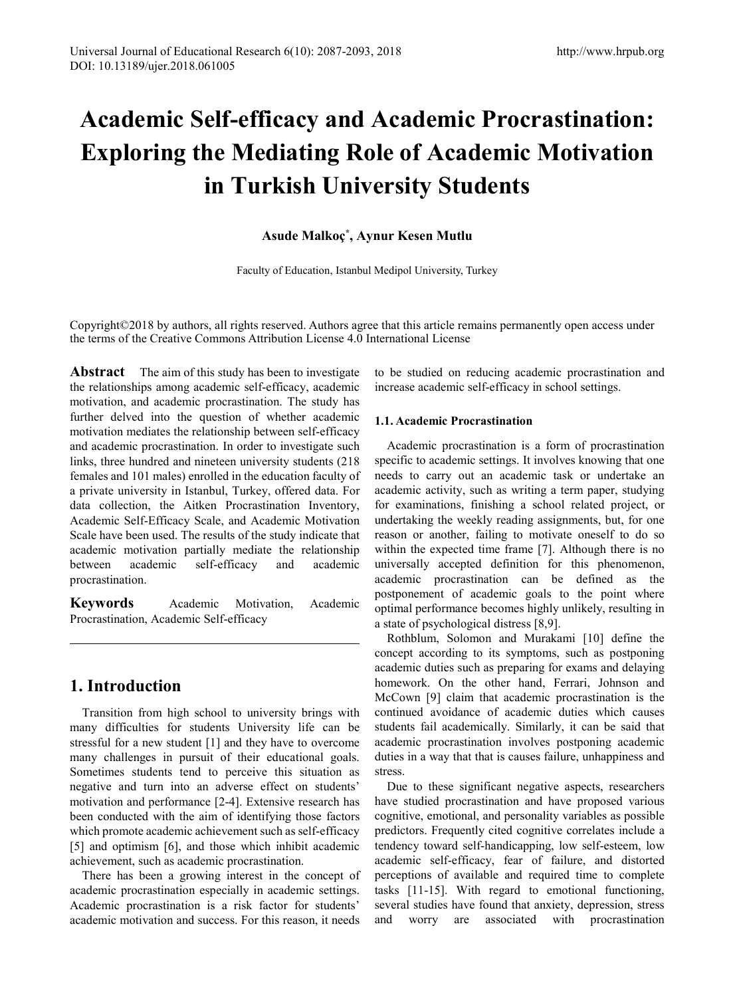# **Academic Self-efficacy and Academic Procrastination: Exploring the Mediating Role of Academic Motivation in Turkish University Students**

## **Asude Malkoç\* , Aynur Kesen Mutlu**

Faculty of Education, Istanbul Medipol University, Turkey

Copyright©2018 by authors, all rights reserved. Authors agree that this article remains permanently open access under the terms of the Creative Commons Attribution License 4.0 International License

**Abstract** The aim of this study has been to investigate the relationships among academic self-efficacy, academic motivation, and academic procrastination. The study has further delved into the question of whether academic motivation mediates the relationship between self-efficacy and academic procrastination. In order to investigate such links, three hundred and nineteen university students (218 females and 101 males) enrolled in the education faculty of a private university in Istanbul, Turkey, offered data. For data collection, the Aitken Procrastination Inventory, Academic Self-Efficacy Scale, and Academic Motivation Scale have been used. The results of the study indicate that academic motivation partially mediate the relationship between academic self-efficacy and academic procrastination.

**Keywords** Academic Motivation, Academic Procrastination, Academic Self-efficacy

# **1. Introduction**

Transition from high school to university brings with many difficulties for students University life can be stressful for a new student [1] and they have to overcome many challenges in pursuit of their educational goals. Sometimes students tend to perceive this situation as negative and turn into an adverse effect on students' motivation and performance [2-4]. Extensive research has been conducted with the aim of identifying those factors which promote academic achievement such as self-efficacy [5] and optimism [6], and those which inhibit academic achievement, such as academic procrastination.

There has been a growing interest in the concept of academic procrastination especially in academic settings. Academic procrastination is a risk factor for students' academic motivation and success. For this reason, it needs to be studied on reducing academic procrastination and increase academic self-efficacy in school settings.

## **1.1. Academic Procrastination**

Academic procrastination is a form of procrastination specific to academic settings. It involves knowing that one needs to carry out an academic task or undertake an academic activity, such as writing a term paper, studying for examinations, finishing a school related project, or undertaking the weekly reading assignments, but, for one reason or another, failing to motivate oneself to do so within the expected time frame [7]. Although there is no universally accepted definition for this phenomenon, academic procrastination can be defined as the postponement of academic goals to the point where optimal performance becomes highly unlikely, resulting in a state of psychological distress [8,9].

Rothblum, Solomon and Murakami [10] define the concept according to its symptoms, such as postponing academic duties such as preparing for exams and delaying homework. On the other hand, Ferrari, Johnson and McCown [9] claim that academic procrastination is the continued avoidance of academic duties which causes students fail academically. Similarly, it can be said that academic procrastination involves postponing academic duties in a way that that is causes failure, unhappiness and stress.

Due to these significant negative aspects, researchers have studied procrastination and have proposed various cognitive, emotional, and personality variables as possible predictors. Frequently cited cognitive correlates include a tendency toward self-handicapping, low self-esteem, low academic self-efficacy, fear of failure, and distorted perceptions of available and required time to complete tasks [11-15]. With regard to emotional functioning, several studies have found that anxiety, depression, stress and worry are associated with procrastination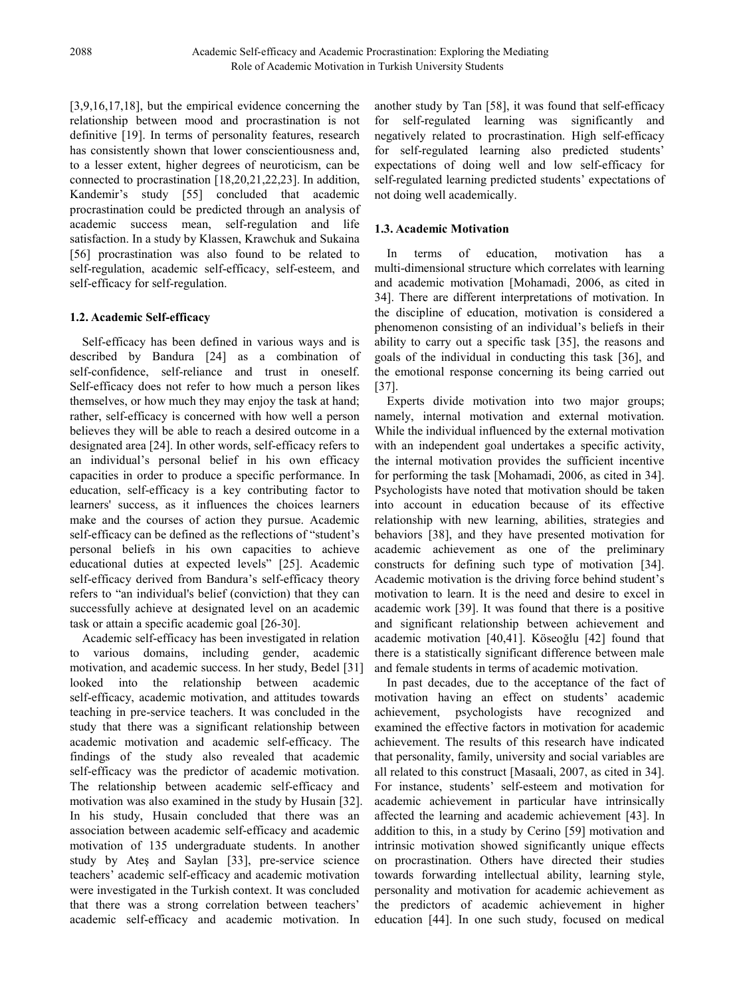[3,9,16,17,18], but the empirical evidence concerning the relationship between mood and procrastination is not definitive [19]. In terms of personality features, research has consistently shown that lower conscientiousness and, to a lesser extent, higher degrees of neuroticism, can be connected to procrastination [18,20,21,22,23]. In addition, Kandemir's study [55] concluded that academic procrastination could be predicted through an analysis of academic success mean, self-regulation and life satisfaction. In a study by Klassen, Krawchuk and Sukaina [56] procrastination was also found to be related to self-regulation, academic self-efficacy, self-esteem, and self-efficacy for self-regulation.

## **1.2. Academic Self-efficacy**

Self-efficacy has been defined in various ways and is described by Bandura [24] as a combination of self-confidence, self-reliance and trust in oneself. Self-efficacy does not refer to how much a person likes themselves, or how much they may enjoy the task at hand; rather, self-efficacy is concerned with how well a person believes they will be able to reach a desired outcome in a designated area [24]. In other words, self-efficacy refers to an individual's personal belief in his own efficacy capacities in order to produce a specific performance. In education, self-efficacy is a key contributing factor to learners' success, as it influences the choices learners make and the courses of action they pursue. Academic self-efficacy can be defined as the reflections of "student's personal beliefs in his own capacities to achieve educational duties at expected levels" [25]. Academic self-efficacy derived from Bandura's self-efficacy theory refers to "an individual's belief (conviction) that they can successfully achieve at designated level on an academic task or attain a specific academic goal [26-30].

Academic self-efficacy has been investigated in relation to various domains, including gender, academic motivation, and academic success. In her study, Bedel [31] looked into the relationship between academic self-efficacy, academic motivation, and attitudes towards teaching in pre-service teachers. It was concluded in the study that there was a significant relationship between academic motivation and academic self-efficacy. The findings of the study also revealed that academic self-efficacy was the predictor of academic motivation. The relationship between academic self-efficacy and motivation was also examined in the study by Husain [32]. In his study, Husain concluded that there was an association between academic self-efficacy and academic motivation of 135 undergraduate students. In another study by Ateş and Saylan [33], pre-service science teachers' academic self-efficacy and academic motivation were investigated in the Turkish context. It was concluded that there was a strong correlation between teachers' academic self-efficacy and academic motivation. In

another study by Tan [58], it was found that self-efficacy for self-regulated learning was significantly and negatively related to procrastination. High self-efficacy for self-regulated learning also predicted students' expectations of doing well and low self-efficacy for self-regulated learning predicted students' expectations of not doing well academically.

# **1.3. Academic Motivation**

In terms of education, motivation has a multi-dimensional structure which correlates with learning and academic motivation [Mohamadi, 2006, as cited in 34]. There are different interpretations of motivation. In the discipline of education, motivation is considered a phenomenon consisting of an individual's beliefs in their ability to carry out a specific task [35], the reasons and goals of the individual in conducting this task [36], and the emotional response concerning its being carried out [37].

Experts divide motivation into two major groups; namely, internal motivation and external motivation. While the individual influenced by the external motivation with an independent goal undertakes a specific activity, the internal motivation provides the sufficient incentive for performing the task [Mohamadi, 2006, as cited in 34]. Psychologists have noted that motivation should be taken into account in education because of its effective relationship with new learning, abilities, strategies and behaviors [38], and they have presented motivation for academic achievement as one of the preliminary constructs for defining such type of motivation [34]. Academic motivation is the driving force behind student's motivation to learn. It is the need and desire to excel in academic work [39]. It was found that there is a positive and significant relationship between achievement and academic motivation [40,41]. Köseoğlu [42] found that there is a statistically significant difference between male and female students in terms of academic motivation.

In past decades, due to the acceptance of the fact of motivation having an effect on students' academic achievement, psychologists have recognized and examined the effective factors in motivation for academic achievement. The results of this research have indicated that personality, family, university and social variables are all related to this construct [Masaali, 2007, as cited in 34]. For instance, students' self-esteem and motivation for academic achievement in particular have intrinsically affected the learning and academic achievement [43]. In addition to this, in a study by Cerino [59] motivation and intrinsic motivation showed significantly unique effects on procrastination. Others have directed their studies towards forwarding intellectual ability, learning style, personality and motivation for academic achievement as the predictors of academic achievement in higher education [44]. In one such study, focused on medical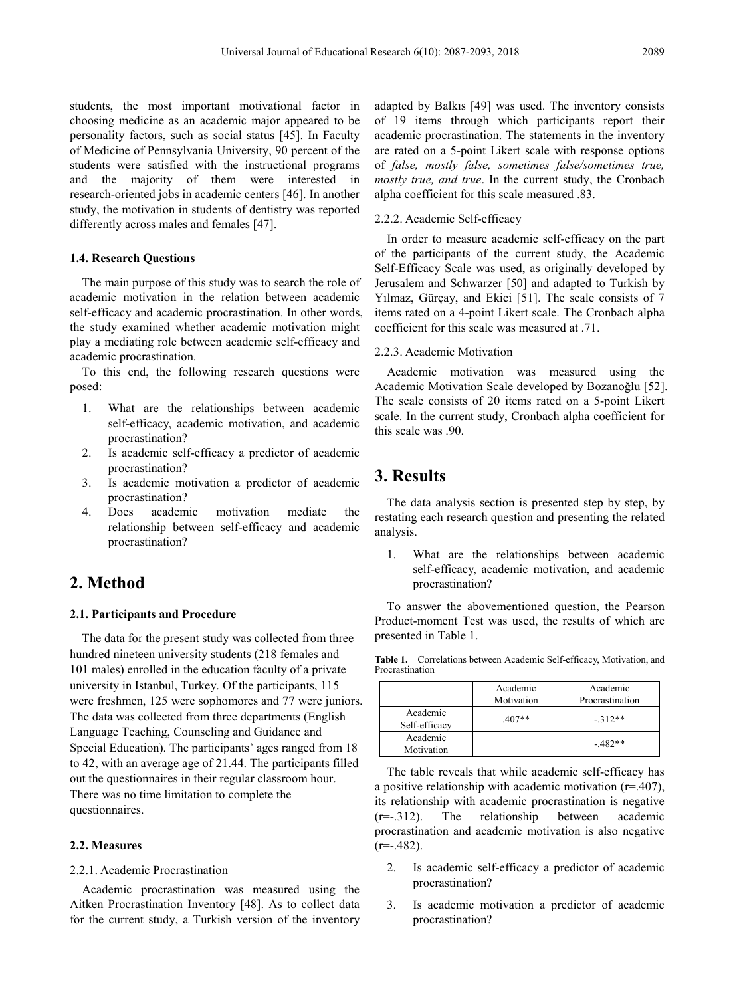students, the most important motivational factor in choosing medicine as an academic major appeared to be personality factors, such as social status [45]. In Faculty of Medicine of Pennsylvania University, 90 percent of the students were satisfied with the instructional programs and the majority of them were interested in research-oriented jobs in academic centers [46]. In another study, the motivation in students of dentistry was reported differently across males and females [47].

## **1.4. Research Questions**

The main purpose of this study was to search the role of academic motivation in the relation between academic self-efficacy and academic procrastination. In other words, the study examined whether academic motivation might play a mediating role between academic self-efficacy and academic procrastination.

To this end, the following research questions were posed:

- 1. What are the relationships between academic self-efficacy, academic motivation, and academic procrastination?
- 2. Is academic self-efficacy a predictor of academic procrastination?
- 3. Is academic motivation a predictor of academic procrastination?
- 4. Does academic motivation mediate the relationship between self-efficacy and academic procrastination?

# **2. Method**

## **2.1. Participants and Procedure**

The data for the present study was collected from three hundred nineteen university students (218 females and 101 males) enrolled in the education faculty of a private university in Istanbul, Turkey. Of the participants, 115 were freshmen, 125 were sophomores and 77 were juniors. The data was collected from three departments (English Language Teaching, Counseling and Guidance and Special Education). The participants' ages ranged from 18 to 42, with an average age of 21.44. The participants filled out the questionnaires in their regular classroom hour. There was no time limitation to complete the questionnaires.

#### **2.2. Measures**

#### 2.2.1. Academic Procrastination

Academic procrastination was measured using the Aitken Procrastination Inventory [48]. As to collect data for the current study, a Turkish version of the inventory adapted by Balkıs [49] was used. The inventory consists of 19 items through which participants report their academic procrastination. The statements in the inventory are rated on a 5-point Likert scale with response options of *false, mostly false, sometimes false/sometimes true, mostly true, and true*. In the current study, the Cronbach alpha coefficient for this scale measured .83.

## 2.2.2. Academic Self-efficacy

In order to measure academic self-efficacy on the part of the participants of the current study, the Academic Self-Efficacy Scale was used, as originally developed by Jerusalem and Schwarzer [50] and adapted to Turkish by Yılmaz, Gürçay, and Ekici [51]. The scale consists of 7 items rated on a 4-point Likert scale. The Cronbach alpha coefficient for this scale was measured at .71.

## 2.2.3. Academic Motivation

Academic motivation was measured using the Academic Motivation Scale developed by Bozanoğlu [52]. The scale consists of 20 items rated on a 5-point Likert scale. In the current study, Cronbach alpha coefficient for this scale was .90.

# **3. Results**

The data analysis section is presented step by step, by restating each research question and presenting the related analysis.

1. What are the relationships between academic self-efficacy, academic motivation, and academic procrastination?

To answer the abovementioned question, the Pearson Product-moment Test was used, the results of which are presented in Table 1.

**Table 1.** Correlations between Academic Self-efficacy, Motivation, and Procrastination

|                           | Academic<br>Motivation | Academic<br>Procrastination |
|---------------------------|------------------------|-----------------------------|
| Academic<br>Self-efficacy | $407**$                | $-312**$                    |
| Academic<br>Motivation    |                        | $-482**$                    |

The table reveals that while academic self-efficacy has a positive relationship with academic motivation (r=.407), its relationship with academic procrastination is negative (r=-.312). The relationship between academic procrastination and academic motivation is also negative  $(r=-.482)$ .

- 2. Is academic self-efficacy a predictor of academic procrastination?
- 3. Is academic motivation a predictor of academic procrastination?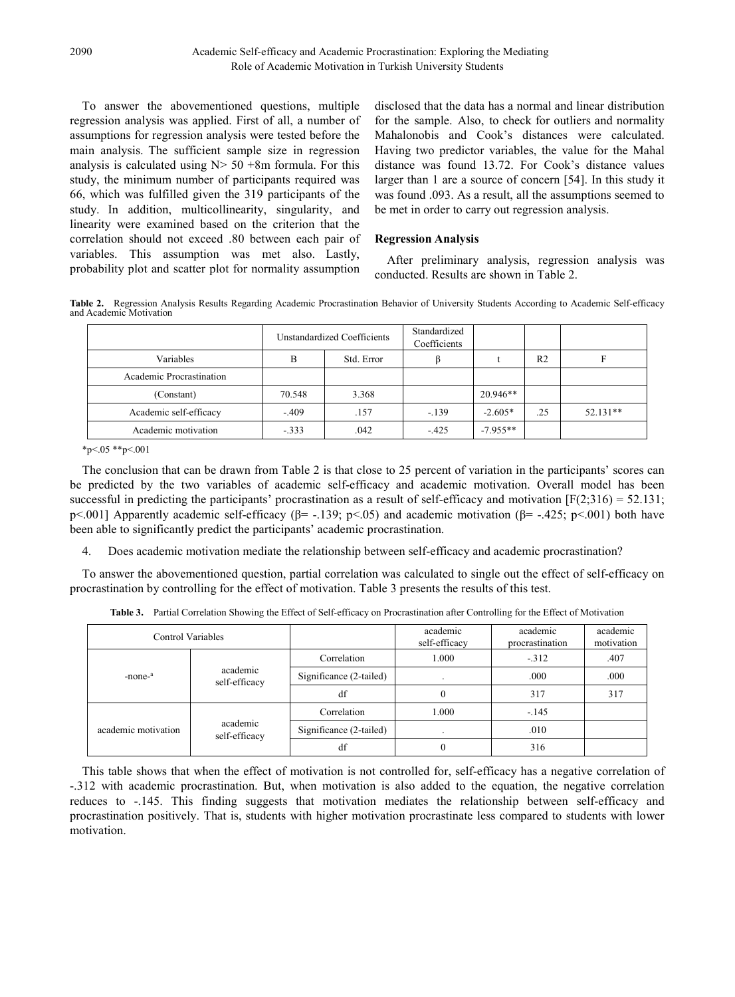To answer the abovementioned questions, multiple regression analysis was applied. First of all, a number of assumptions for regression analysis were tested before the main analysis. The sufficient sample size in regression analysis is calculated using  $N > 50 + 8m$  formula. For this study, the minimum number of participants required was 66, which was fulfilled given the 319 participants of the study. In addition, multicollinearity, singularity, and linearity were examined based on the criterion that the correlation should not exceed .80 between each pair of variables. This assumption was met also. Lastly, probability plot and scatter plot for normality assumption

disclosed that the data has a normal and linear distribution for the sample. Also, to check for outliers and normality Mahalonobis and Cook's distances were calculated. Having two predictor variables, the value for the Mahal distance was found 13.72. For Cook's distance values larger than 1 are a source of concern [54]. In this study it was found .093. As a result, all the assumptions seemed to be met in order to carry out regression analysis.

## **Regression Analysis**

After preliminary analysis, regression analysis was conducted. Results are shown in Table 2.

**Table 2.** Regression Analysis Results Regarding Academic Procrastination Behavior of University Students According to Academic Self-efficacy and Academic Motivation

|                          | Unstandardized Coefficients |            | Standardized<br>Coefficients |            |                |          |
|--------------------------|-----------------------------|------------|------------------------------|------------|----------------|----------|
| Variables                | B                           | Std. Error |                              |            | R <sub>2</sub> |          |
| Academic Procrastination |                             |            |                              |            |                |          |
| (Constant)               | 70.548                      | 3.368      |                              | $20.946**$ |                |          |
| Academic self-efficacy   | $-.409$                     | .157       | $-139$                       | $-2.605*$  | .25            | 52.131** |
| Academic motivation      | $-.333$                     | .042       | $-425$                       | $-7.955**$ |                |          |

\*p<.05 \*\*p<.001

The conclusion that can be drawn from Table 2 is that close to 25 percent of variation in the participants' scores can be predicted by the two variables of academic self-efficacy and academic motivation. Overall model has been successful in predicting the participants' procrastination as a result of self-efficacy and motivation  $[F(2,316) = 52.131;$ p<.001] Apparently academic self-efficacy ( $\beta$ = -.139; p<.05) and academic motivation ( $\beta$ = -.425; p<.001) both have been able to significantly predict the participants' academic procrastination.

4. Does academic motivation mediate the relationship between self-efficacy and academic procrastination?

To answer the abovementioned question, partial correlation was calculated to single out the effect of self-efficacy on procrastination by controlling for the effect of motivation. Table 3 presents the results of this test.

| Control Variables   |                           |                         | academic<br>self-efficacy | academic<br>procrastination | academic<br>motivation |
|---------------------|---------------------------|-------------------------|---------------------------|-----------------------------|------------------------|
| -none- <sup>a</sup> | academic<br>self-efficacy | Correlation             | 1.000                     | $-312$                      | .407                   |
|                     |                           | Significance (2-tailed) | $\cdot$                   | .000                        | .000                   |
|                     |                           | df                      |                           | 317                         | 317                    |
| academic motivation | academic<br>self-efficacy | Correlation             | 1.000                     | $-.145$                     |                        |
|                     |                           | Significance (2-tailed) | $\bullet$                 | .010                        |                        |
|                     |                           | df                      | $\theta$                  | 316                         |                        |

**Table 3.** Partial Correlation Showing the Effect of Self-efficacy on Procrastination after Controlling for the Effect of Motivation

This table shows that when the effect of motivation is not controlled for, self-efficacy has a negative correlation of -.312 with academic procrastination. But, when motivation is also added to the equation, the negative correlation reduces to -.145. This finding suggests that motivation mediates the relationship between self-efficacy and procrastination positively. That is, students with higher motivation procrastinate less compared to students with lower motivation.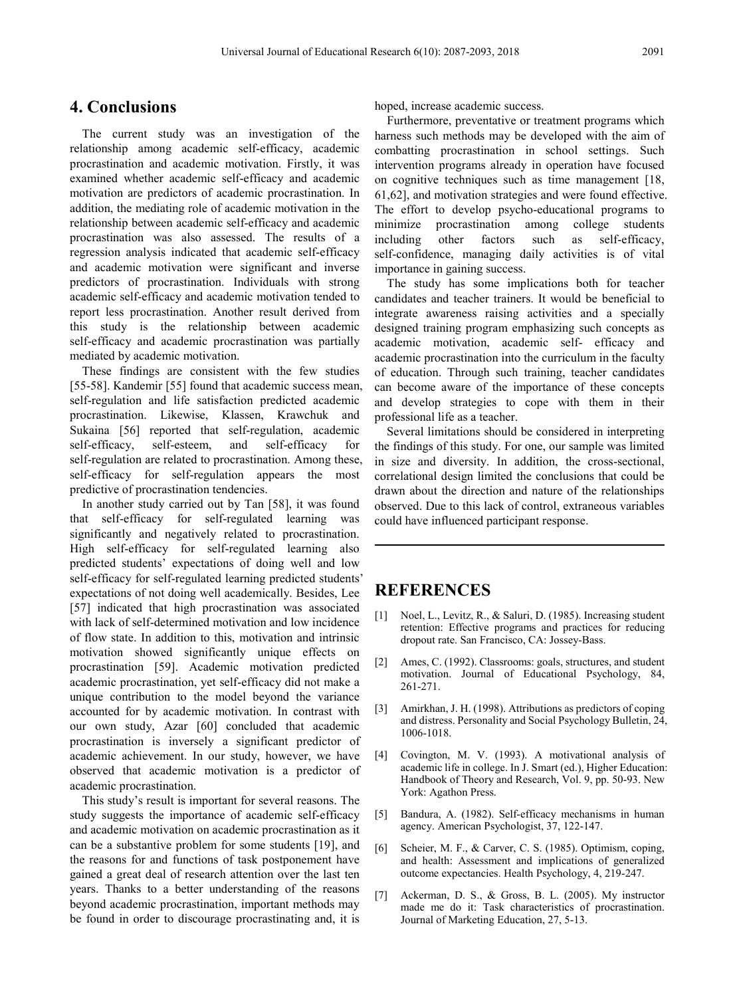# **4. Conclusions**

The current study was an investigation of the relationship among academic self-efficacy, academic procrastination and academic motivation. Firstly, it was examined whether academic self-efficacy and academic motivation are predictors of academic procrastination. In addition, the mediating role of academic motivation in the relationship between academic self-efficacy and academic procrastination was also assessed. The results of a regression analysis indicated that academic self-efficacy and academic motivation were significant and inverse predictors of procrastination. Individuals with strong academic self-efficacy and academic motivation tended to report less procrastination. Another result derived from this study is the relationship between academic self-efficacy and academic procrastination was partially mediated by academic motivation.

These findings are consistent with the few studies [55-58]. Kandemir [55] found that academic success mean, self-regulation and life satisfaction predicted academic procrastination. Likewise, Klassen, Krawchuk and Sukaina [56] reported that self-regulation, academic self-efficacy, self-esteem, and self-efficacy for self-regulation are related to procrastination. Among these, self-efficacy for self-regulation appears the most predictive of procrastination tendencies.

In another study carried out by Tan [58], it was found that self-efficacy for self-regulated learning was significantly and negatively related to procrastination. High self-efficacy for self-regulated learning also predicted students' expectations of doing well and low self-efficacy for self-regulated learning predicted students' expectations of not doing well academically. Besides, Lee [57] indicated that high procrastination was associated with lack of self-determined motivation and low incidence of flow state. In addition to this, motivation and intrinsic motivation showed significantly unique effects on procrastination [59]. Academic motivation predicted academic procrastination, yet self-efficacy did not make a unique contribution to the model beyond the variance accounted for by academic motivation. In contrast with our own study, Azar [60] concluded that academic procrastination is inversely a significant predictor of academic achievement. In our study, however, we have observed that academic motivation is a predictor of academic procrastination.

This study's result is important for several reasons. The study suggests the importance of academic self-efficacy and academic motivation on academic procrastination as it can be a substantive problem for some students [19], and the reasons for and functions of task postponement have gained a great deal of research attention over the last ten years. Thanks to a better understanding of the reasons beyond academic procrastination, important methods may be found in order to discourage procrastinating and, it is

hoped, increase academic success.

Furthermore, preventative or treatment programs which harness such methods may be developed with the aim of combatting procrastination in school settings. Such intervention programs already in operation have focused on cognitive techniques such as time management [18, 61,62], and motivation strategies and were found effective. The effort to develop psycho-educational programs to minimize procrastination among college students including other factors such as self-efficacy, self-confidence, managing daily activities is of vital importance in gaining success.

The study has some implications both for teacher candidates and teacher trainers. It would be beneficial to integrate awareness raising activities and a specially designed training program emphasizing such concepts as academic motivation, academic self- efficacy and academic procrastination into the curriculum in the faculty of education. Through such training, teacher candidates can become aware of the importance of these concepts and develop strategies to cope with them in their professional life as a teacher.

Several limitations should be considered in interpreting the findings of this study. For one, our sample was limited in size and diversity. In addition, the cross-sectional, correlational design limited the conclusions that could be drawn about the direction and nature of the relationships observed. Due to this lack of control, extraneous variables could have influenced participant response.

# **REFERENCES**

- [1] Noel, L., Levitz, R., & Saluri, D. (1985). Increasing student retention: Effective programs and practices for reducing dropout rate. San Francisco, CA: Jossey-Bass.
- [2] Ames, C. (1992). Classrooms: goals, structures, and student motivation. Journal of Educational Psychology, 84, 261-271.
- [3] Amirkhan, J. H. (1998). Attributions as predictors of coping and distress. Personality and Social Psychology Bulletin, 24, 1006-1018.
- [4] Covington, M. V. (1993). A motivational analysis of academic life in college. In J. Smart (ed.), Higher Education: Handbook of Theory and Research, Vol. 9, pp. 50-93. New York: Agathon Press.
- [5] Bandura, A. (1982). Self-efficacy mechanisms in human agency. American Psychologist, 37, 122-147.
- [6] Scheier, M. F., & Carver, C. S. (1985). Optimism, coping, and health: Assessment and implications of generalized outcome expectancies. Health Psychology, 4, 219-247.
- [7] Ackerman, D. S., & Gross, B. L. (2005). My instructor made me do it: Task characteristics of procrastination. Journal of Marketing Education, 27, 5-13.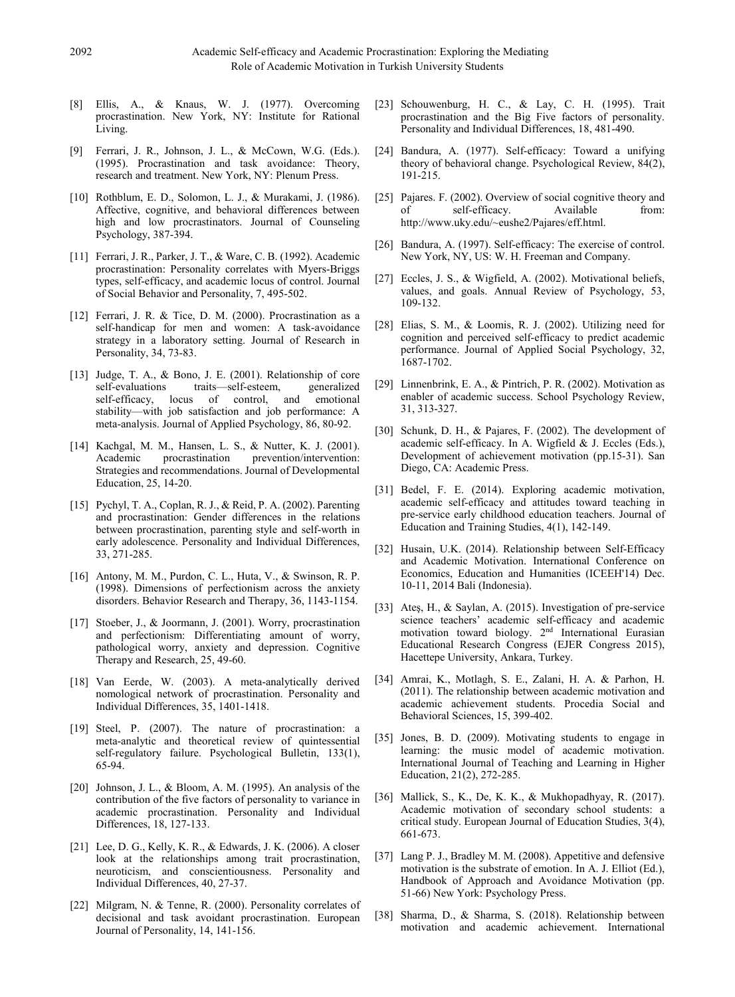- [8] Ellis, A., & Knaus, W. J. (1977). Overcoming procrastination. New York, NY: Institute for Rational Living.
- [9] Ferrari, J. R., Johnson, J. L., & McCown, W.G. (Eds.). (1995). Procrastination and task avoidance: Theory, research and treatment. New York, NY: Plenum Press.
- [10] Rothblum, E. D., Solomon, L. J., & Murakami, J. (1986). Affective, cognitive, and behavioral differences between high and low procrastinators. Journal of Counseling Psychology, 387-394.
- [11] Ferrari, J. R., Parker, J. T., & Ware, C. B. (1992). Academic procrastination: Personality correlates with Myers-Briggs types, self-efficacy, and academic locus of control. Journal of Social Behavior and Personality, 7, 495-502.
- [12] Ferrari, J. R. & Tice, D. M. (2000). Procrastination as a self-handicap for men and women: A task-avoidance strategy in a laboratory setting. Journal of Research in Personality, 34, 73-83.
- [13] Judge, T. A., & Bono, J. E. (2001). Relationship of core self-evaluations traits—self-esteem, generalized self-efficacy, locus of control, and emotional stability—with job satisfaction and job performance: A meta-analysis. Journal of Applied Psychology, 86, 80-92.
- [14] Kachgal, M. M., Hansen, L. S., & Nutter, K. J. (2001). Academic procrastination prevention/intervention: Strategies and recommendations. Journal of Developmental Education, 25, 14-20.
- [15] Pychyl, T. A., Coplan, R. J., & Reid, P. A. (2002). Parenting and procrastination: Gender differences in the relations between procrastination, parenting style and self-worth in early adolescence. Personality and Individual Differences, 33, 271-285.
- [16] Antony, M. M., Purdon, C. L., Huta, V., & Swinson, R. P. (1998). Dimensions of perfectionism across the anxiety disorders. Behavior Research and Therapy, 36, 1143-1154.
- [17] Stoeber, J., & Joormann, J. (2001). Worry, procrastination and perfectionism: Differentiating amount of worry, pathological worry, anxiety and depression. Cognitive Therapy and Research, 25, 49-60.
- [18] Van Eerde, W. (2003). A meta-analytically derived nomological network of procrastination. Personality and Individual Differences, 35, 1401-1418.
- [19] Steel, P. (2007). The nature of procrastination: a meta-analytic and theoretical review of quintessential self-regulatory failure. Psychological Bulletin, 133(1), 65-94.
- [20] Johnson, J. L., & Bloom, A. M. (1995). An analysis of the contribution of the five factors of personality to variance in academic procrastination. Personality and Individual Differences, 18, 127-133.
- [21] Lee, D. G., Kelly, K. R., & Edwards, J. K. (2006). A closer look at the relationships among trait procrastination, neuroticism, and conscientiousness. Personality and Individual Differences, 40, 27-37.
- [22] Milgram, N. & Tenne, R. (2000). Personality correlates of decisional and task avoidant procrastination. European Journal of Personality, 14, 141-156.
- [23] Schouwenburg, H. C., & Lay, C. H. (1995). Trait procrastination and the Big Five factors of personality. Personality and Individual Differences, 18, 481-490.
- [24] Bandura, A. (1977). Self-efficacy: Toward a unifying theory of behavioral change. Psychological Review, 84(2), 191-215.
- [25] Pajares. F. (2002). Overview of social cognitive theory and self-efficacy. Available from: http://www.uky.edu/~eushe2/Pajares/eff.html.
- [26] Bandura, A. (1997). Self-efficacy: The exercise of control. New York, NY, US: W. H. Freeman and Company.
- [27] Eccles, J. S., & Wigfield, A. (2002). Motivational beliefs, values, and goals. Annual Review of Psychology, 53, 109-132.
- [28] Elias, S. M., & Loomis, R. J. (2002). Utilizing need for cognition and perceived self-efficacy to predict academic performance. Journal of Applied Social Psychology, 32, 1687-1702.
- [29] Linnenbrink, E. A., & Pintrich, P. R. (2002). Motivation as enabler of academic success. School Psychology Review, 31, 313-327.
- [30] Schunk, D. H., & Pajares, F. (2002). The development of academic self-efficacy. In A. Wigfield & J. Eccles (Eds.), Development of achievement motivation (pp.15-31). San Diego, CA: Academic Press.
- [31] Bedel, F. E. (2014). Exploring academic motivation, academic self-efficacy and attitudes toward teaching in pre-service early childhood education teachers. Journal of Education and Training Studies, 4(1), 142-149.
- [32] Husain, U.K. (2014). Relationship between Self-Efficacy and Academic Motivation. International Conference on Economics, Education and Humanities (ICEEH'14) Dec. 10-11, 2014 Bali (Indonesia).
- [33] Ates, H., & Saylan, A. (2015). Investigation of pre-service science teachers' academic self-efficacy and academic motivation toward biology. 2nd International Eurasian Educational Research Congress (EJER Congress 2015), Hacettepe University, Ankara, Turkey.
- [34] Amrai, K., Motlagh, S. E., Zalani, H. A. & Parhon, H. (2011). The relationship between academic motivation and academic achievement students. Procedia Social and Behavioral Sciences, 15, 399-402.
- [35] Jones, B. D. (2009). Motivating students to engage in learning: the music model of academic motivation. International Journal of Teaching and Learning in Higher Education, 21(2), 272-285.
- [36] Mallick, S., K., De, K. K., & Mukhopadhyay, R. (2017). Academic motivation of secondary school students: a critical study. European Journal of Education Studies, 3(4), 661-673.
- [37] Lang P. J., Bradley M. M. (2008). Appetitive and defensive motivation is the substrate of emotion. In A. J. Elliot (Ed.), Handbook of Approach and Avoidance Motivation (pp. 51-66) New York: Psychology Press.
- [38] Sharma, D., & Sharma, S. (2018). Relationship between motivation and academic achievement. International